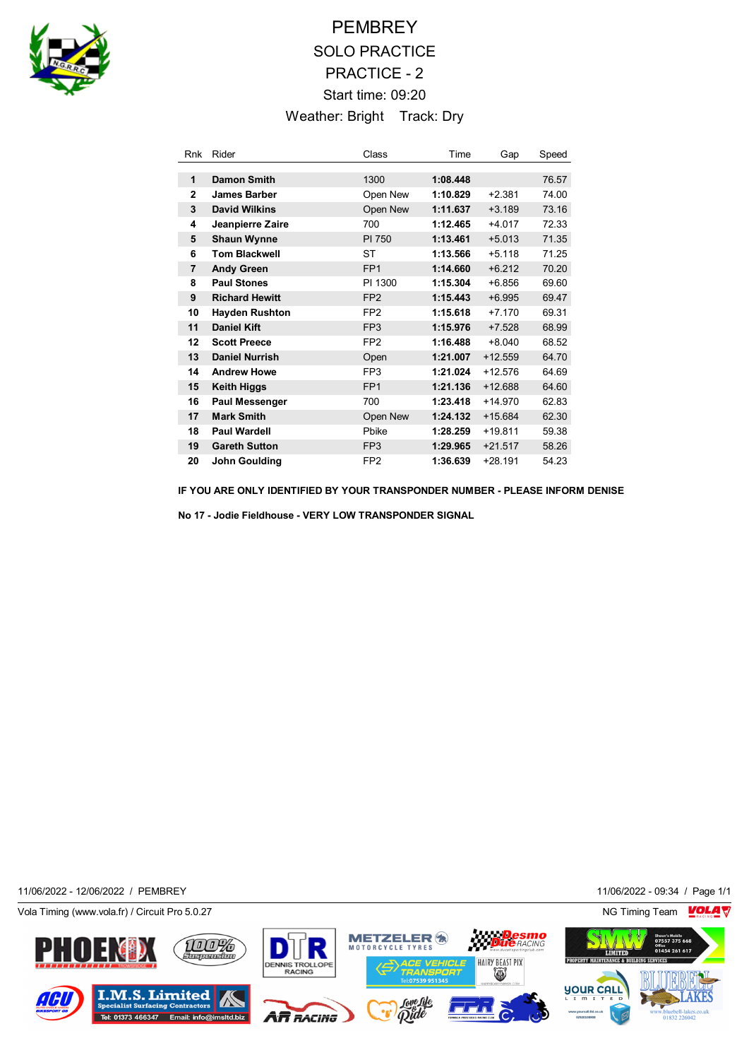

## **PEMBREY** SOLO PRACTICE PRACTICE - 2 Start time: 09:20 Weather: Bright Track: Dry

| Rnk            | Rider                 | Class           | Time     | Gap       | Speed |
|----------------|-----------------------|-----------------|----------|-----------|-------|
|                |                       |                 |          |           |       |
| 1              | <b>Damon Smith</b>    | 1300            | 1:08.448 |           | 76.57 |
| $\mathbf{2}$   | <b>James Barber</b>   | Open New        | 1:10.829 | $+2.381$  | 74.00 |
| 3              | <b>David Wilkins</b>  | Open New        | 1:11.637 | $+3.189$  | 73.16 |
| 4              | Jeanpierre Zaire      | 700             | 1:12.465 | $+4.017$  | 72.33 |
| 5              | <b>Shaun Wynne</b>    | PI 750          | 1:13.461 | $+5.013$  | 71.35 |
| 6              | <b>Tom Blackwell</b>  | ST              | 1:13.566 | $+5.118$  | 71.25 |
| $\overline{7}$ | <b>Andy Green</b>     | FP <sub>1</sub> | 1:14.660 | $+6.212$  | 70.20 |
| 8              | <b>Paul Stones</b>    | PI 1300         | 1:15.304 | $+6.856$  | 69.60 |
| 9              | <b>Richard Hewitt</b> | FP <sub>2</sub> | 1:15.443 | $+6.995$  | 69.47 |
| 10             | <b>Hayden Rushton</b> | FP <sub>2</sub> | 1:15.618 | $+7.170$  | 69.31 |
| 11             | <b>Daniel Kift</b>    | FP <sub>3</sub> | 1:15.976 | $+7.528$  | 68.99 |
| 12             | <b>Scott Preece</b>   | FP <sub>2</sub> | 1:16.488 | $+8.040$  | 68.52 |
| 13             | <b>Daniel Nurrish</b> | Open            | 1:21.007 | $+12.559$ | 64.70 |
| 14             | <b>Andrew Howe</b>    | FP <sub>3</sub> | 1:21.024 | $+12.576$ | 64.69 |
| 15             | <b>Keith Higgs</b>    | FP <sub>1</sub> | 1:21.136 | $+12.688$ | 64.60 |
| 16             | <b>Paul Messenger</b> | 700             | 1:23.418 | $+14.970$ | 62.83 |
| 17             | <b>Mark Smith</b>     | Open New        | 1:24.132 | $+15.684$ | 62.30 |
| 18             | <b>Paul Wardell</b>   | Pbike           | 1:28.259 | $+19.811$ | 59.38 |
| 19             | <b>Gareth Sutton</b>  | FP <sub>3</sub> | 1:29.965 | $+21.517$ | 58.26 |
| 20             | John Goulding         | FP <sub>2</sub> | 1:36.639 | $+28.191$ | 54.23 |

**IF YOU ARE ONLY IDENTIFIED BY YOUR TRANSPONDER NUMBER - PLEASE INFORM DENISE**

**No 17 - Jodie Fieldhouse - VERY LOW TRANSPONDER SIGNAL**

11/06/2022 - 12/06/2022 / PEMBREY 11/06/2022 - 09:34 / Page 1/1

Vola Timing (www.vola.fr) / Circuit Pro 5.0.27 NG Timing Team NG Timing Team NG Timing Team NG Timing Team NG